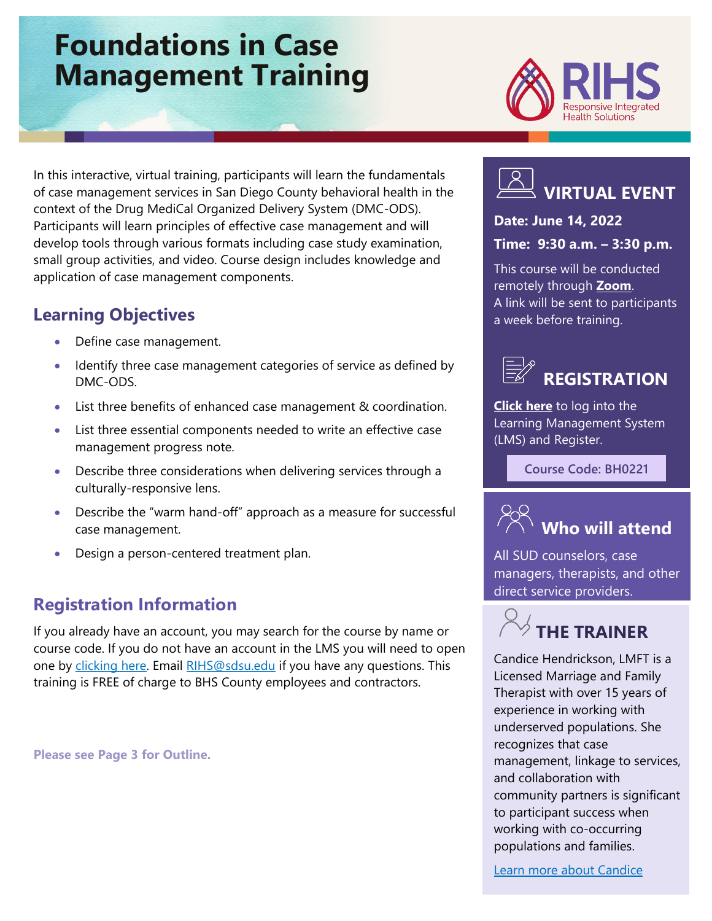# **Foundations in Case Management Training**



In this interactive, virtual training, participants will learn the fundamentals of case management services in San Diego County behavioral health in the context of the Drug MediCal Organized Delivery System (DMC-ODS). Participants will learn principles of effective case management and will develop tools through various formats including case study examination, small group activities, and video. Course design includes knowledge and application of case management components.

# **Learning Objectives**

- Define case management.
- Identify three case management categories of service as defined by DMC-ODS.
- List three benefits of enhanced case management & coordination.
- List three essential components needed to write an effective case management progress note.
- Describe three considerations when delivering services through a culturally-responsive lens.
- Describe the "warm hand-off" approach as a measure for successful case management.
- Design a person-centered treatment plan.

# **Registration Information**

If you already have an account, you may search for the course by name or course code. If you do not have an account in the LMS you will need to open one by [clicking here.](https://sdsumbrs.az1.qualtrics.com/jfe/form/SV_0c75lYpeur5l9rv) Email [RIHS@sdsu.edu](file:///C:/Users/mperezgonzalez/Downloads/RIHS@sdsu.edu) if you have any questions. This training is FREE of charge to BHS County employees and contractors.

**Please see Page 3 for Outline.**



### **Date: June 14, 2022**

### **Time: 9:30 a.m. – 3:30 p.m.**

This course will be conducted remotely through **[Zoom](https://zoom.us/)**. A link will be sent to participants a week before training.



**[Click here](https://academy.sumtotal.host/Broker/Account/Login.aspx?wtrealm=https%3a%2f%2fACADEMY.sumtotal.host%2fcore%2f&ReturnUrl=http%3a%2f%2facademy.sumtotal.host%2fBroker%2fToken%2fSaml11.ashx%3fwa%3dwsignin1.0%26wtrealm%3dhttps%253a%252f%252fACADEMY.sumtotal.host%252fcore%252f%26wreply%3dhttp%253a%252f%252facademy.sumtotal.host%252fcore%252f&IsHybridOrNativeClient=False&domainid=52160A28FC58BBBE7D714E075077AC76)** to log into the Learning Management System (LMS) and Register.

**Course Code: BH0221**



All SUD counselors, case managers, therapists, and other direct service providers.



[Candice](https://theacademy.sdsu.edu/rihsbios/candice-hendrickson/) Hendrickson, LMFT is a Licensed Marriage and Family Therapist with over 15 years of experience in working with underserved populations. She recognizes that case management, linkage to services, and collaboration with community partners is significant to participant success when working with co-occurring populations and families.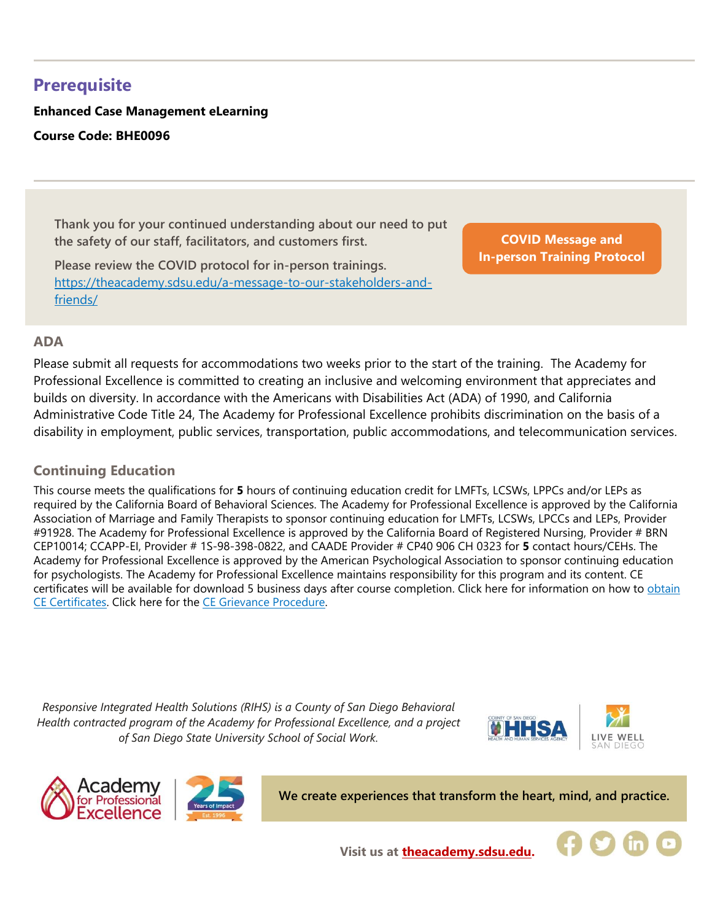# **Prerequisite**

### **Enhanced Case Management eLearning Course Code: BHE0096**

**Thank you for your continued understanding about our need to put the safety of our staff, facilitators, and customers first.**

**Please review the COVID protocol for in-person trainings.**  [https://theacademy.sdsu.edu/a-message-to-our-stakeholders-and](https://theacademy.sdsu.edu/a-message-to-our-stakeholders-and-friends/)[friends/](https://theacademy.sdsu.edu/a-message-to-our-stakeholders-and-friends/)

**COVID Message and [In-person Training Protocol](https://theacademy.sdsu.edu/a-message-to-our-stakeholders-and-friends/)**

#### **ADA**

Please submit all requests for accommodations two weeks prior to the start of the training. The Academy for Professional Excellence is committed to creating an inclusive and welcoming environment that appreciates and builds on diversity. In accordance with the Americans with Disabilities Act (ADA) of 1990, and California Administrative Code Title 24, The Academy for Professional Excellence prohibits discrimination on the basis of a disability in employment, public services, transportation, public accommodations, and telecommunication services.

#### **Continuing Education**

This course meets the qualifications for **5** hours of continuing education credit for LMFTs, LCSWs, LPPCs and/or LEPs as required by the California Board of Behavioral Sciences. The Academy for Professional Excellence is approved by the California Association of Marriage and Family Therapists to sponsor continuing education for LMFTs, LCSWs, LPCCs and LEPs, Provider #91928. The Academy for Professional Excellence is approved by the California Board of Registered Nursing, Provider # BRN CEP10014; CCAPP-EI, Provider # 1S-98-398-0822, and CAADE Provider # CP40 906 CH 0323 for **5** contact hours/CEHs. The Academy for Professional Excellence is approved by the American Psychological Association to sponsor continuing education for psychologists. The Academy for Professional Excellence maintains responsibility for this program and its content. CE certificates will be available for download 5 business days after course completion. Click here for information on how to obtain [CE Certificates.](https://theacademy.sdsu.edu/programs/rihs/rihs-faq/) Click here for the [CE Grievance Procedure.](https://drive.google.com/file/d/10H4zN0gLatK2hP5SJpe0HTZkZpYm8GRj/view)

*Responsive Integrated Health Solutions (RIHS) is a County of San Diego Behavioral Health contracted program of the Academy for Professional Excellence, and a project of San Diego State University School of Social Work.*





**We create experiences that transform the heart, mind, and practice.**



**Visit us at [theacademy.sdsu.edu.](https://theacademy.sdsu.edu/)**